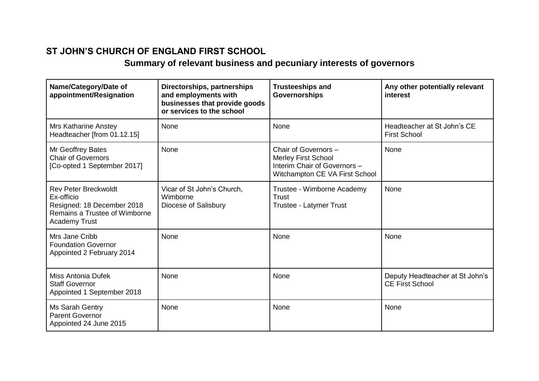## **ST JOHN'S CHURCH OF ENGLAND FIRST SCHOOL**

## **Summary of relevant business and pecuniary interests of governors**

| Name/Category/Date of<br>appointment/Resignation                                                                                 | Directorships, partnerships<br>and employments with<br>businesses that provide goods<br>or services to the school | <b>Trusteeships and</b><br><b>Governorships</b>                                                                      | Any other potentially relevant<br>interest                |
|----------------------------------------------------------------------------------------------------------------------------------|-------------------------------------------------------------------------------------------------------------------|----------------------------------------------------------------------------------------------------------------------|-----------------------------------------------------------|
| <b>Mrs Katharine Anstey</b><br>Headteacher [from 01.12.15]                                                                       | None                                                                                                              | None                                                                                                                 | Headteacher at St John's CE<br><b>First School</b>        |
| Mr Geoffrey Bates<br><b>Chair of Governors</b><br>[Co-opted 1 September 2017]                                                    | None                                                                                                              | Chair of Governors -<br><b>Merley First School</b><br>Interim Chair of Governors -<br>Witchampton CE VA First School | None                                                      |
| <b>Rev Peter Breckwoldt</b><br>Ex-officio<br>Resigned: 18 December 2018<br>Remains a Trustee of Wimborne<br><b>Academy Trust</b> | Vicar of St John's Church,<br>Wimborne<br>Diocese of Salisbury                                                    | Trustee - Wimborne Academy<br>Trust<br>Trustee - Latymer Trust                                                       | None                                                      |
| Mrs Jane Cribb<br><b>Foundation Governor</b><br>Appointed 2 February 2014                                                        | None                                                                                                              | None                                                                                                                 | None                                                      |
| Miss Antonia Dufek<br><b>Staff Governor</b><br>Appointed 1 September 2018                                                        | None                                                                                                              | None                                                                                                                 | Deputy Headteacher at St John's<br><b>CE First School</b> |
| Ms Sarah Gentry<br><b>Parent Governor</b><br>Appointed 24 June 2015                                                              | None                                                                                                              | None                                                                                                                 | None                                                      |